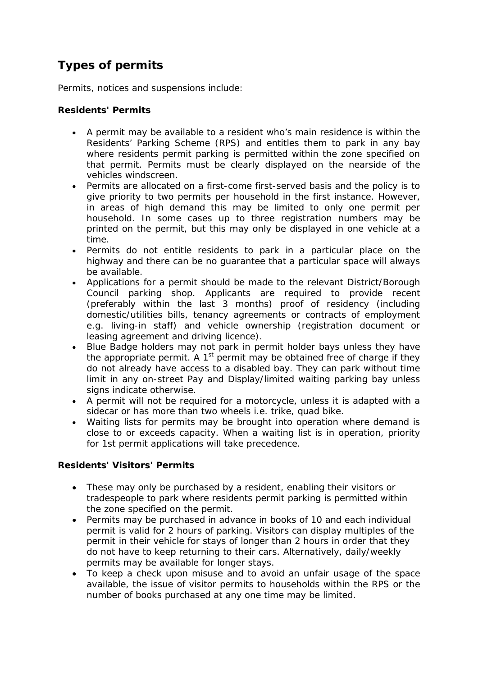# **Types of permits**

Permits, notices and suspensions include:

## **Residents' Permits**

- A permit may be available to a resident who's main residence is within the Residents' Parking Scheme (RPS) and entitles them to park in any bay where residents permit parking is permitted within the zone specified on that permit. Permits must be clearly displayed on the nearside of the vehicles windscreen.
- Permits are allocated on a first-come first-served basis and the policy is to give priority to two permits per household in the first instance. However, in areas of high demand this may be limited to only one permit per household. In some cases up to three registration numbers may be printed on the permit, but this may only be displayed in one vehicle at a time.
- Permits do not entitle residents to park in a particular place on the highway and there can be no guarantee that a particular space will always be available.
- Applications for a permit should be made to the relevant District/Borough Council parking shop. Applicants are required to provide recent (preferably within the last 3 months) proof of residency (including domestic/utilities bills, tenancy agreements or contracts of employment e.g. living-in staff) and vehicle ownership (registration document or leasing agreement and driving licence).
- Blue Badge holders may not park in permit holder bays unless they have the appropriate permit. A  $1<sup>st</sup>$  permit may be obtained free of charge if they do not already have access to a disabled bay. They can park without time limit in any on-street Pay and Display/limited waiting parking bay unless signs indicate otherwise.
- A permit will not be required for a motorcycle, unless it is adapted with a sidecar or has more than two wheels i.e. trike, quad bike.
- Waiting lists for permits may be brought into operation where demand is close to or exceeds capacity. When a waiting list is in operation, priority for 1st permit applications will take precedence.

# **Residents' Visitors' Permits**

- These may only be purchased by a resident, enabling their visitors or tradespeople to park where residents permit parking is permitted within the zone specified on the permit.
- Permits may be purchased in advance in books of 10 and each individual permit is valid for 2 hours of parking. Visitors can display multiples of the permit in their vehicle for stays of longer than 2 hours in order that they do not have to keep returning to their cars. Alternatively, daily/weekly permits may be available for longer stays.
- To keep a check upon misuse and to avoid an unfair usage of the space available, the issue of visitor permits to households within the RPS or the number of books purchased at any one time may be limited.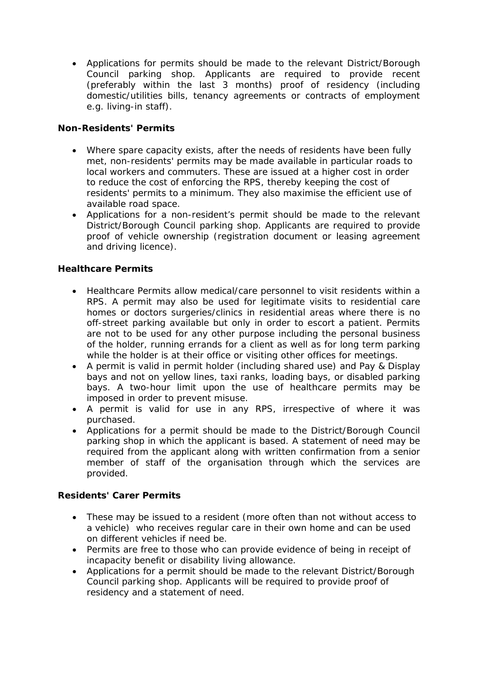• Applications for permits should be made to the relevant District/Borough Council parking shop. Applicants are required to provide recent (preferably within the last 3 months) proof of residency (including domestic/utilities bills, tenancy agreements or contracts of employment e.g. living-in staff).

# **Non-Residents' Permits**

- Where spare capacity exists, after the needs of residents have been fully met, non-residents' permits may be made available in particular roads to local workers and commuters. These are issued at a higher cost in order to reduce the cost of enforcing the RPS, thereby keeping the cost of residents' permits to a minimum. They also maximise the efficient use of available road space.
- Applications for a non-resident's permit should be made to the relevant District/Borough Council parking shop. Applicants are required to provide proof of vehicle ownership (registration document or leasing agreement and driving licence).

## **Healthcare Permits**

- Healthcare Permits allow medical/care personnel to visit residents within a RPS. A permit may also be used for legitimate visits to residential care homes or doctors surgeries/clinics in residential areas where there is no off-street parking available but only in order to escort a patient. Permits are not to be used for any other purpose including the personal business of the holder, running errands for a client as well as for long term parking while the holder is at their office or visiting other offices for meetings.
- A permit is valid in permit holder (including shared use) and Pay & Display bays and not on yellow lines, taxi ranks, loading bays, or disabled parking bays. A two-hour limit upon the use of healthcare permits may be imposed in order to prevent misuse.
- A permit is valid for use in any RPS, irrespective of where it was purchased.
- Applications for a permit should be made to the District/Borough Council parking shop in which the applicant is based. A statement of need may be required from the applicant along with written confirmation from a senior member of staff of the organisation through which the services are provided.

## **Residents' Carer Permits**

- These may be issued to a resident (more often than not without access to a vehicle) who receives regular care in their own home and can be used on different vehicles if need be.
- Permits are free to those who can provide evidence of being in receipt of incapacity benefit or disability living allowance.
- Applications for a permit should be made to the relevant District/Borough Council parking shop. Applicants will be required to provide proof of residency and a statement of need.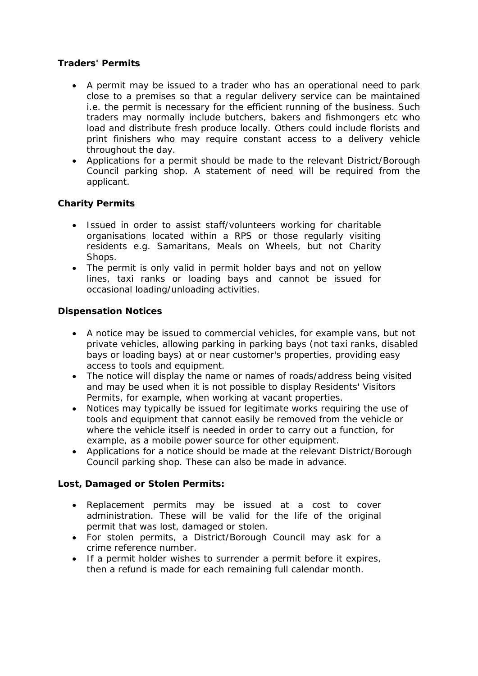# **Traders' Permits**

- A permit may be issued to a trader who has an operational need to park close to a premises so that a regular delivery service can be maintained i.e. the permit is necessary for the efficient running of the business. Such traders may normally include butchers, bakers and fishmongers etc who load and distribute fresh produce locally. Others could include florists and print finishers who may require constant access to a delivery vehicle throughout the day.
- Applications for a permit should be made to the relevant District/Borough Council parking shop. A statement of need will be required from the applicant.

# **Charity Permits**

- Issued in order to assist staff/volunteers working for charitable organisations located within a RPS or those regularly visiting residents e.g. Samaritans, Meals on Wheels, but not Charity Shops.
- The permit is only valid in permit holder bays and not on yellow lines, taxi ranks or loading bays and cannot be issued for occasional loading/unloading activities.

## **Dispensation Notices**

- A notice may be issued to commercial vehicles, for example vans, but not private vehicles, allowing parking in parking bays (not taxi ranks, disabled bays or loading bays) at or near customer's properties, providing easy access to tools and equipment.
- The notice will display the name or names of roads/address being visited and may be used when it is not possible to display Residents' Visitors Permits, for example, when working at vacant properties.
- Notices may typically be issued for legitimate works requiring the use of tools and equipment that cannot easily be removed from the vehicle or where the vehicle itself is needed in order to carry out a function, for example, as a mobile power source for other equipment.
- Applications for a notice should be made at the relevant District/Borough Council parking shop. These can also be made in advance.

## **Lost, Damaged or Stolen Permits:**

- Replacement permits may be issued at a cost to cover administration. These will be valid for the life of the original permit that was lost, damaged or stolen.
- For stolen permits, a District/Borough Council may ask for a crime reference number.
- If a permit holder wishes to surrender a permit before it expires, then a refund is made for each remaining full calendar month.